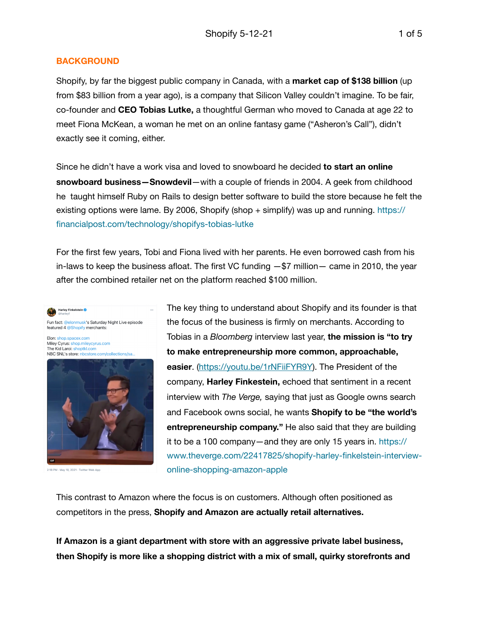## **BACKGROUND**

Shopify, by far the biggest public company in Canada, with a **market cap of \$138 billion** (up from \$83 billion from a year ago), is a company that Silicon Valley couldn't imagine. To be fair, co-founder and **CEO Tobias Lutke,** a thoughtful German who moved to Canada at age 22 to meet Fiona McKean, a woman he met on an online fantasy game ("Asheron's Call"), didn't exactly see it coming, either.

Since he didn't have a work visa and loved to snowboard he decided **to start an online snowboard business—Snowdevil**—with a couple of friends in 2004. A geek from childhood he taught himself Ruby on Rails to design better software to build the store because he felt the existing options were lame. By 2006, Shopify (shop + simplify) was up and running. https:// financialpost.com/technology/shopifys-tobias-lutke

For the first few years, Tobi and Fiona lived with her parents. He even borrowed cash from his in-laws to keep the business afloat. The first VC funding  $-$ \$7 million $-$  came in 2010, the year after the combined retailer net on the platform reached \$100 million.

Harley Finkelstein Fun fact: @elonmusk's Saturday Night Live episode featured 4 @Shopify merchants

Elon: shop.spacex.com Miley Cyrus: shop.mileycyrus.com The Kid Laroi: shoptkl.com NBC SNL's store: nbcstore.com/collections/sa



2:18 PM - May 10, 2021 - Twitter Web App

The key thing to understand about Shopify and its founder is that the focus of the business is firmly on merchants. According to Tobias in a *Bloomberg* interview last year, **the mission is "to try to make entrepreneurship more common, approachable, easier**. [\(https://youtu.be/1rNFiiFYR9Y\)](https://youtu.be/1rNFiiFYR9Y). The President of the company, **Harley Finkestein,** echoed that sentiment in a recent interview with *The Verge,* saying that just as Google owns search and Facebook owns social, he wants **Shopify to be "the world's entrepreneurship company."** He also said that they are building it to be a 100 company—and they are only 15 years in. https:// www.theverge.com/22417825/shopify-harley-finkelstein-interviewonline-shopping-amazon-apple

This contrast to Amazon where the focus is on customers. Although often positioned as competitors in the press, **Shopify and Amazon are actually retail alternatives.** 

**If Amazon is a giant department with store with an aggressive private label business, then Shopify is more like a shopping district with a mix of small, quirky storefronts and**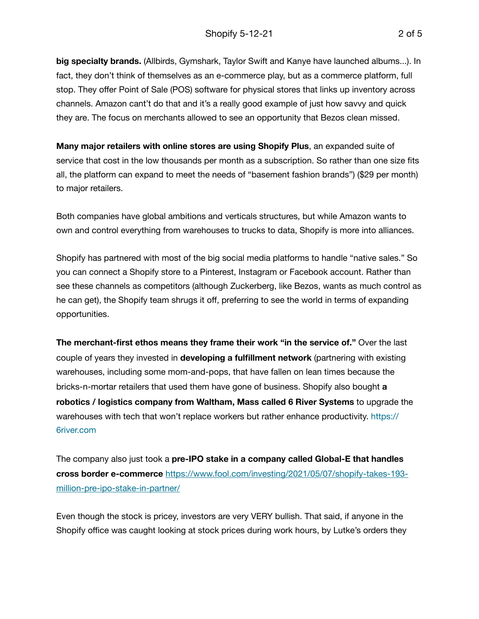**big specialty brands.** (Allbirds, Gymshark, Taylor Swift and Kanye have launched albums...). In fact, they don't think of themselves as an e-commerce play, but as a commerce platform, full stop. They offer Point of Sale (POS) software for physical stores that links up inventory across channels. Amazon cant't do that and it's a really good example of just how savvy and quick they are. The focus on merchants allowed to see an opportunity that Bezos clean missed.

**Many major retailers with online stores are using Shopify Plus**, an expanded suite of service that cost in the low thousands per month as a subscription. So rather than one size fits all, the platform can expand to meet the needs of "basement fashion brands") (\$29 per month) to major retailers.

Both companies have global ambitions and verticals structures, but while Amazon wants to own and control everything from warehouses to trucks to data, Shopify is more into alliances.

Shopify has partnered with most of the big social media platforms to handle "native sales." So you can connect a Shopify store to a Pinterest, Instagram or Facebook account. Rather than see these channels as competitors (although Zuckerberg, like Bezos, wants as much control as he can get), the Shopify team shrugs it off, preferring to see the world in terms of expanding opportunities.

**The merchant-first ethos means they frame their work "in the service of."** Over the last couple of years they invested in **developing a fulfillment network** (partnering with existing warehouses, including some mom-and-pops, that have fallen on lean times because the bricks-n-mortar retailers that used them have gone of business. Shopify also bought **a robotics / logistics company from Waltham, Mass called 6 River Systems** to upgrade the warehouses with tech that won't replace workers but rather enhance productivity. https:// 6river.com

The company also just took a **pre-IPO stake in a company called Global-E that handles cross border e-commerce** [https://www.fool.com/investing/2021/05/07/shopify-takes-193](https://www.fool.com/investing/2021/05/07/shopify-takes-193-million-pre-ipo-stake-in-partner/) [million-pre-ipo-stake-in-partner/](https://www.fool.com/investing/2021/05/07/shopify-takes-193-million-pre-ipo-stake-in-partner/)

Even though the stock is pricey, investors are very VERY bullish. That said, if anyone in the Shopify office was caught looking at stock prices during work hours, by Lutke's orders they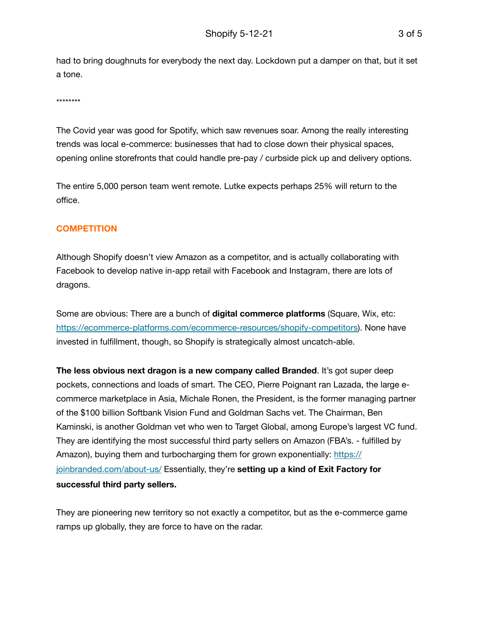had to bring doughnuts for everybody the next day. Lockdown put a damper on that, but it set a tone.

\*\*\*\*\*\*\*\*

The Covid year was good for Spotify, which saw revenues soar. Among the really interesting trends was local e-commerce: businesses that had to close down their physical spaces, opening online storefronts that could handle pre-pay / curbside pick up and delivery options.

The entire 5,000 person team went remote. Lutke expects perhaps 25% will return to the office.

## **COMPETITION**

Although Shopify doesn't view Amazon as a competitor, and is actually collaborating with Facebook to develop native in-app retail with Facebook and Instagram, there are lots of dragons.

Some are obvious: There are a bunch of **digital commerce platforms** (Square, Wix, etc: [https://ecommerce-platforms.com/ecommerce-resources/shopify-competitors\)](https://ecommerce-platforms.com/ecommerce-resources/shopify-competitors). None have invested in fulfillment, though, so Shopify is strategically almost uncatch-able.

**The less obvious next dragon is a new company called Branded**. It's got super deep pockets, connections and loads of smart. The CEO, Pierre Poignant ran Lazada, the large ecommerce marketplace in Asia, Michale Ronen, the President, is the former managing partner of the \$100 billion Softbank Vision Fund and Goldman Sachs vet. The Chairman, Ben Kaminski, is another Goldman vet who wen to Target Global, among Europe's largest VC fund. They are identifying the most successful third party sellers on Amazon (FBA's. - fulfilled by Amazon), buying them and turbocharging them for grown exponentially: [https://](https://joinbranded.com/about-us/) [joinbranded.com/about-us/](https://joinbranded.com/about-us/) Essentially, they're **setting up a kind of Exit Factory for successful third party sellers.** 

They are pioneering new territory so not exactly a competitor, but as the e-commerce game ramps up globally, they are force to have on the radar.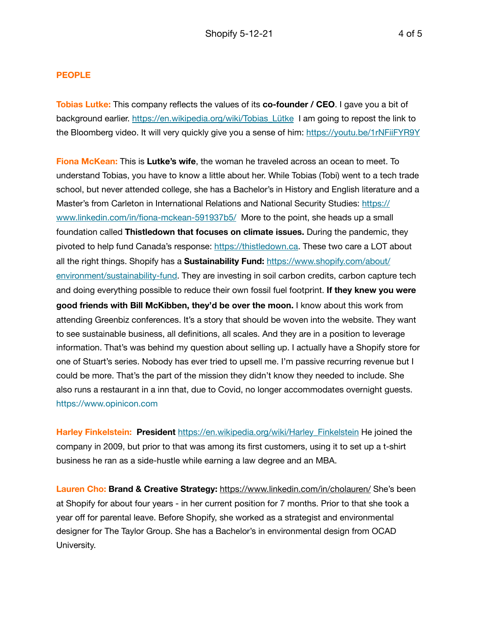## **PEOPLE**

**Tobias Lutke:** This company reflects the values of its **co-founder / CEO**. I gave you a bit of background earlier. [https://en.wikipedia.org/wiki/Tobias\\_Lütke](https://en.wikipedia.org/wiki/Tobias_L%C3%BCtke) I am going to repost the link to the Bloomberg video. It will very quickly give you a sense of him: <https://youtu.be/1rNFiiFYR9Y>

**Fiona McKean:** This is **Lutke's wife**, the woman he traveled across an ocean to meet. To understand Tobias, you have to know a little about her. While Tobias (Tobi) went to a tech trade school, but never attended college, she has a Bachelor's in History and English literature and a Master's from Carleton in International Relations and National Security Studies: [https://](https://www.linkedin.com/in/fiona-mckean-591937b5/) [www.linkedin.com/in/fiona-mckean-591937b5/](https://www.linkedin.com/in/fiona-mckean-591937b5/) More to the point, she heads up a small foundation called **Thistledown that focuses on climate issues.** During the pandemic, they pivoted to help fund Canada's response:<https://thistledown.ca>. These two care a LOT about all the right things. Shopify has a **Sustainability Fund:** [https://www.shopify.com/about/](https://www.shopify.com/about/environment/sustainability-fund) [environment/sustainability-fund](https://www.shopify.com/about/environment/sustainability-fund). They are investing in soil carbon credits, carbon capture tech and doing everything possible to reduce their own fossil fuel footprint. **If they knew you were good friends with Bill McKibben, they'd be over the moon.** I know about this work from attending Greenbiz conferences. It's a story that should be woven into the website. They want to see sustainable business, all definitions, all scales. And they are in a position to leverage information. That's was behind my question about selling up. I actually have a Shopify store for one of Stuart's series. Nobody has ever tried to upsell me. I'm passive recurring revenue but I could be more. That's the part of the mission they didn't know they needed to include. She also runs a restaurant in a inn that, due to Covid, no longer accommodates overnight guests. https://www.opinicon.com

**Harley Finkelstein: President** [https://en.wikipedia.org/wiki/Harley\\_Finkelstein](https://en.wikipedia.org/wiki/Harley_Finkelstein) He joined the company in 2009, but prior to that was among its first customers, using it to set up a t-shirt business he ran as a side-hustle while earning a law degree and an MBA.

**Lauren Cho: Brand & Creative Strategy:** <https://www.linkedin.com/in/cholauren/> She's been at Shopify for about four years - in her current position for 7 months. Prior to that she took a year off for parental leave. Before Shopify, she worked as a strategist and environmental designer for The Taylor Group. She has a Bachelor's in environmental design from OCAD University.